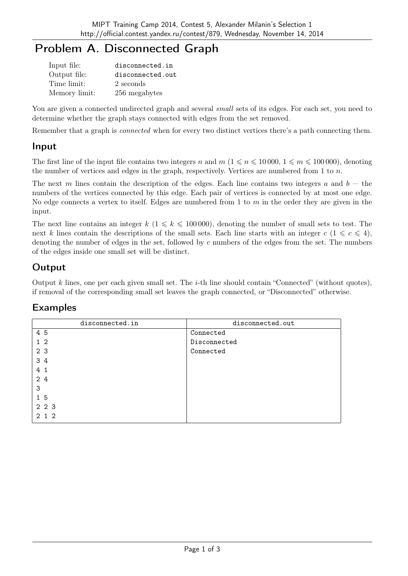# Problem A. Disconnected Graph

| Input file:   | disconnected.in  |
|---------------|------------------|
| Output file:  | disconnected.out |
| Time limit:   | 2 seconds        |
| Memory limit: | 256 megabytes    |

You are given a connected undirected graph and several *small* sets of its edges. For each set, you need to determine whether the graph stays connected with edges from the set removed.

Remember that a graph is connected when for every two distinct vertices there's a path connecting them.

## Input

The first line of the input file contains two integers n and  $m$  ( $1 \leq n \leq 10000$ ,  $1 \leq m \leq 100000$ ), denoting the number of vertices and edges in the graph, respectively. Vertices are numbered from 1 to  $n$ .

The next m lines contain the description of the edges. Each line contains two integers a and  $b$  – the numbers of the vertices connected by this edge. Each pair of vertices is connected by at most one edge. No edge connects a vertex to itself. Edges are numbered from 1 to  $m$  in the order they are given in the input.

The next line contains an integer  $k$  ( $1 \le k \le 100000$ ), denoting the number of small sets to test. The next k lines contain the descriptions of the small sets. Each line starts with an integer  $c$  ( $1 \leq c \leq 4$ ), denoting the number of edges in the set, followed by c numbers of the edges from the set. The numbers of the edges inside one small set will be distinct.

# **Output**

Output k lines, one per each given small set. The  $i$ -th line should contain "Connected" (without quotes), if removal of the corresponding small set leaves the graph connected, or "Disconnected" otherwise.

# Examples

| disconnected.in | disconnected.out |
|-----------------|------------------|
| 4 5             | Connected        |
| $1\,2$          | Disconnected     |
| 2 3             | Connected        |
| 34              |                  |
| 4 1             |                  |
| 24              |                  |
| 3               |                  |
| 1 5             |                  |
| 2 2 3           |                  |
| 2 1 2           |                  |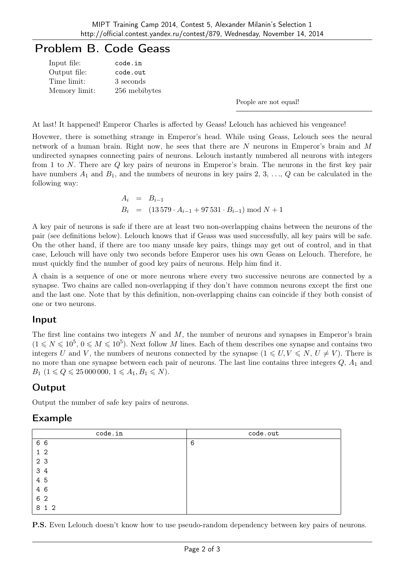# Problem B. Code Geass

| Input file:   | code.in       |
|---------------|---------------|
| Output file:  | code.out      |
| Time limit:   | 3 seconds     |
| Memory limit: | 256 mebibytes |

People are not equal!

At last! It happened! Emperor Charles is affected by Geass! Lelouch has achieved his vengeance!

Hovewer, there is something strange in Emperor's head. While using Geass, Lelouch sees the neural network of a human brain. Right now, he sees that there are N neurons in Emperor's brain and M undirected synapses connecting pairs of neurons. Lelouch instantly numbered all neurons with integers from 1 to N. There are Q key pairs of neurons in Emperor's brain. The neurons in the first key pair have numbers  $A_1$  and  $B_1$ , and the numbers of neurons in key pairs 2, 3, ..., Q can be calculated in the following way:

$$
A_i = B_{i-1}
$$
  
\n
$$
B_i = (13\,579 \cdot A_{i-1} + 97\,531 \cdot B_{i-1}) \mod N + 1
$$

A key pair of neurons is safe if there are at least two non-overlapping chains between the neurons of the pair (see definitions below). Lelouch knows that if Geass was used successfully, all key pairs will be safe. On the other hand, if there are too many unsafe key pairs, things may get out of control, and in that case, Lelouch will have only two seconds before Emperor uses his own Geass on Lelouch. Therefore, he must quickly find the number of good key pairs of neurons. Help him find it.

A chain is a sequence of one or more neurons where every two successive neurons are connected by a synapse. Two chains are called non-overlapping if they don't have common neurons except the first one and the last one. Note that by this definition, non-overlapping chains can coincide if they both consist of one or two neurons.

#### Input

The first line contains two integers  $N$  and  $M$ , the number of neurons and synapses in Emperor's brain  $(1 \leq N \leq 10^5, 0 \leq M \leq 10^5)$ . Next follow M lines. Each of them describes one synapse and contains two integers U and V, the numbers of neurons connected by the synapse  $(1 \leq U, V \leq N, U \neq V)$ . There is no more than one synapse between each pair of neurons. The last line contains three integers  $Q$ ,  $A_1$  and  $B_1$   $(1 \leq Q \leq 25\,000\,000, 1 \leq A_1, B_1 \leq N).$ 

## **Output**

Output the number of safe key pairs of neurons.

#### Example

| code.in        | code.out |
|----------------|----------|
| 6 6            | 6        |
| 1 <sub>2</sub> |          |
| 2 3            |          |
| 3 4            |          |
| 4 5            |          |
| 4 6            |          |
| 6 2            |          |
| 8 1 2          |          |

P.S. Even Lelouch doesn't know how to use pseudo-random dependency between key pairs of neurons.